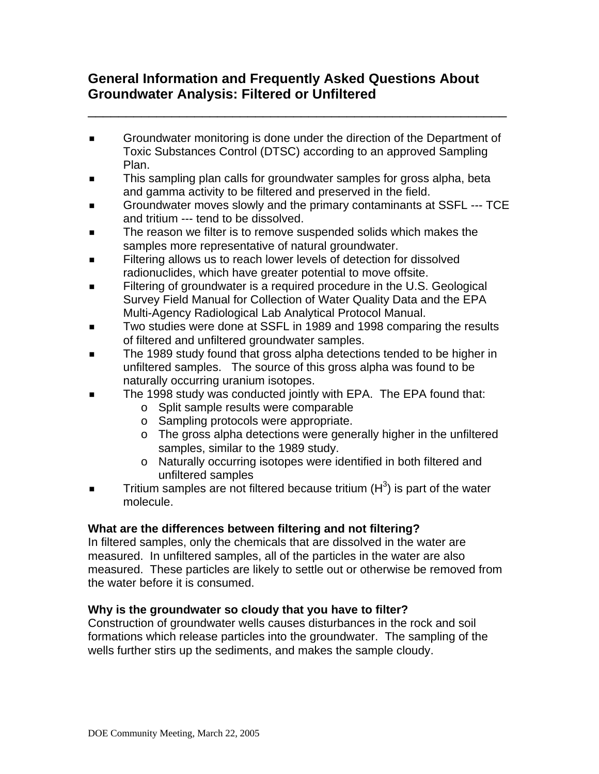# **General Information and Frequently Asked Questions About Groundwater Analysis: Filtered or Unfiltered**

**EXECT** Groundwater monitoring is done under the direction of the Department of Toxic Substances Control (DTSC) according to an approved Sampling Plan.

\_\_\_\_\_\_\_\_\_\_\_\_\_\_\_\_\_\_\_\_\_\_\_\_\_\_\_\_\_\_\_\_\_\_\_\_\_\_\_\_\_\_\_\_\_\_\_\_\_\_\_\_\_\_\_

- This sampling plan calls for groundwater samples for gross alpha, beta and gamma activity to be filtered and preserved in the field.
- Groundwater moves slowly and the primary contaminants at SSFL --- TCE and tritium --- tend to be dissolved.
- The reason we filter is to remove suspended solids which makes the samples more representative of natural groundwater.
- Filtering allows us to reach lower levels of detection for dissolved radionuclides, which have greater potential to move offsite.
- **Filtering of groundwater is a required procedure in the U.S. Geological** Survey Field Manual for Collection of Water Quality Data and the EPA Multi-Agency Radiological Lab Analytical Protocol Manual.
- Two studies were done at SSFL in 1989 and 1998 comparing the results of filtered and unfiltered groundwater samples.
- The 1989 study found that gross alpha detections tended to be higher in unfiltered samples. The source of this gross alpha was found to be naturally occurring uranium isotopes.
- The 1998 study was conducted jointly with EPA. The EPA found that:
	- o Split sample results were comparable
	- o Sampling protocols were appropriate.
	- o The gross alpha detections were generally higher in the unfiltered samples, similar to the 1989 study.
	- o Naturally occurring isotopes were identified in both filtered and unfiltered samples
- **Tritium samples are not filtered because tritium (** $H<sup>3</sup>$ **) is part of the water** molecule.

# **What are the differences between filtering and not filtering?**

In filtered samples, only the chemicals that are dissolved in the water are measured. In unfiltered samples, all of the particles in the water are also measured. These particles are likely to settle out or otherwise be removed from the water before it is consumed.

## **Why is the groundwater so cloudy that you have to filter?**

Construction of groundwater wells causes disturbances in the rock and soil formations which release particles into the groundwater. The sampling of the wells further stirs up the sediments, and makes the sample cloudy.